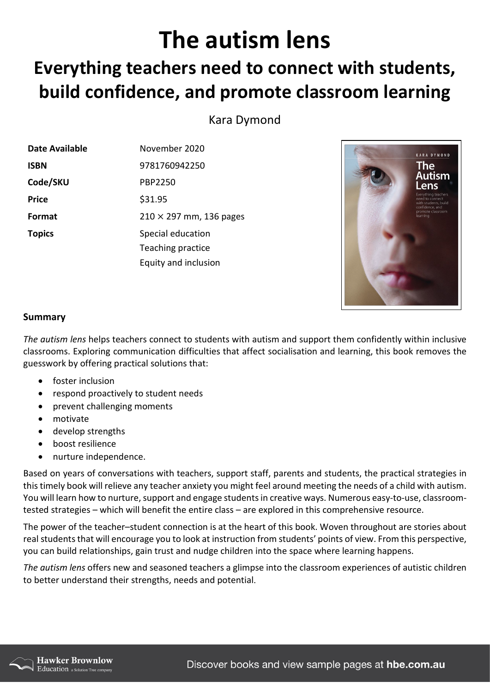## **The autism lens**

## **Everything teachers need to connect with students, build confidence, and promote classroom learning**

Kara Dymond

| Date Available | November 2020                  |
|----------------|--------------------------------|
| <b>ISBN</b>    | 9781760942250                  |
| Code/SKU       | <b>PBP2250</b>                 |
| <b>Price</b>   | \$31.95                        |
| Format         | $210 \times 297$ mm, 136 pages |
| <b>Topics</b>  | Special education              |
|                | Teaching practice              |
|                | Equity and inclusion           |



## **Summary**

*The autism lens* helps teachers connect to students with autism and support them confidently within inclusive classrooms. Exploring communication difficulties that affect socialisation and learning, this book removes the guesswork by offering practical solutions that:

- foster inclusion
- respond proactively to student needs
- prevent challenging moments
- motivate
- develop strengths
- boost resilience
- nurture independence.

Based on years of conversations with teachers, support staff, parents and students, the practical strategies in this timely book will relieve any teacher anxiety you might feel around meeting the needs of a child with autism. You will learn how to nurture, support and engage students in creative ways. Numerous easy-to-use, classroomtested strategies – which will benefit the entire class – are explored in this comprehensive resource.

The power of the teacher–student connection is at the heart of this book. Woven throughout are stories about real students that will encourage you to look at instruction from students' points of view. From this perspective, you can build relationships, gain trust and nudge children into the space where learning happens.

*The autism lens* offers new and seasoned teachers a glimpse into the classroom experiences of autistic children to better understand their strengths, needs and potential.